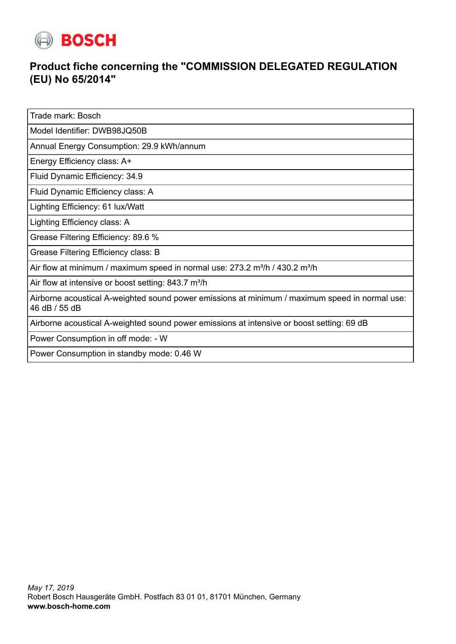

## **Product fiche concerning the "COMMISSION DELEGATED REGULATION (EU) No 65/2014"**

Trade mark: Bosch

Model Identifier: DWB98JQ50B

Annual Energy Consumption: 29.9 kWh/annum

Energy Efficiency class: A+

Fluid Dynamic Efficiency: 34.9

Fluid Dynamic Efficiency class: A

Lighting Efficiency: 61 lux/Watt

Lighting Efficiency class: A

Grease Filtering Efficiency: 89.6 %

Grease Filtering Efficiency class: B

Air flow at minimum / maximum speed in normal use:  $273.2$  m<sup>3</sup>/h / 430.2 m<sup>3</sup>/h

Air flow at intensive or boost setting:  $843.7 \text{ m}^3/\text{h}$ 

Airborne acoustical A-weighted sound power emissions at minimum / maximum speed in normal use: 46 dB / 55 dB

Airborne acoustical A-weighted sound power emissions at intensive or boost setting: 69 dB

Power Consumption in off mode: - W

Power Consumption in standby mode: 0.46 W